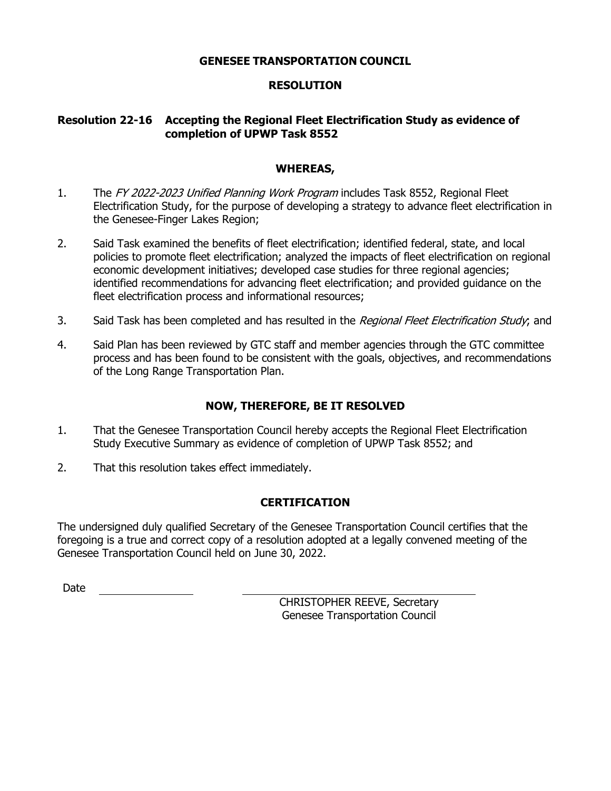#### **GENESEE TRANSPORTATION COUNCIL**

### **RESOLUTION**

### **Resolution 22-16 Accepting the Regional Fleet Electrification Study as evidence of completion of UPWP Task 8552**

#### **WHEREAS,**

- 1. The FY 2022-2023 Unified Planning Work Program includes Task 8552, Regional Fleet Electrification Study, for the purpose of developing a strategy to advance fleet electrification in the Genesee-Finger Lakes Region;
- 2. Said Task examined the benefits of fleet electrification; identified federal, state, and local policies to promote fleet electrification; analyzed the impacts of fleet electrification on regional economic development initiatives; developed case studies for three regional agencies; identified recommendations for advancing fleet electrification; and provided guidance on the fleet electrification process and informational resources;
- 3. Said Task has been completed and has resulted in the Regional Fleet Electrification Study; and
- 4. Said Plan has been reviewed by GTC staff and member agencies through the GTC committee process and has been found to be consistent with the goals, objectives, and recommendations of the Long Range Transportation Plan.

### **NOW, THEREFORE, BE IT RESOLVED**

- 1. That the Genesee Transportation Council hereby accepts the Regional Fleet Electrification Study Executive Summary as evidence of completion of UPWP Task 8552; and
- 2. That this resolution takes effect immediately.

### **CERTIFICATION**

The undersigned duly qualified Secretary of the Genesee Transportation Council certifies that the foregoing is a true and correct copy of a resolution adopted at a legally convened meeting of the Genesee Transportation Council held on June 30, 2022.

Date

CHRISTOPHER REEVE, Secretary Genesee Transportation Council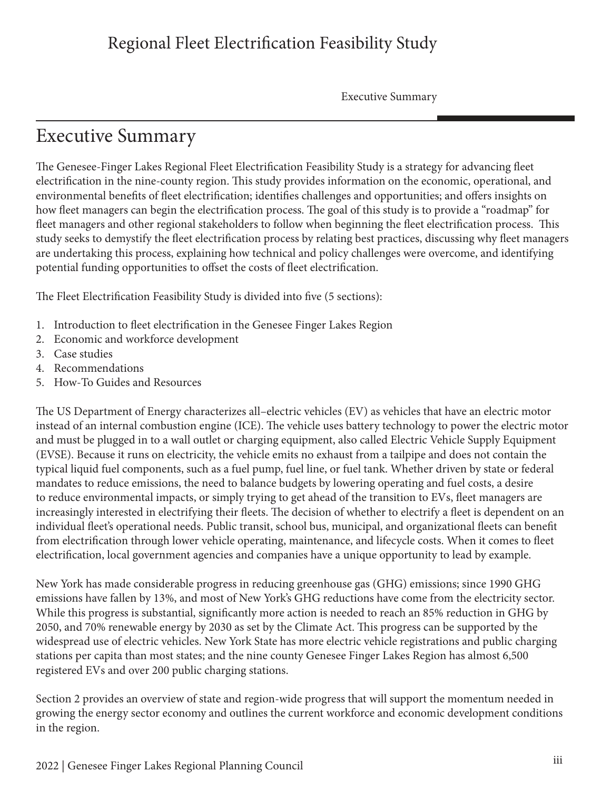## Regional Fleet Electrification Feasibility Study

Executive Summary

## Executive Summary

The Genesee-Finger Lakes Regional Fleet Electrification Feasibility Study is a strategy for advancing fleet electrification in the nine-county region. This study provides information on the economic, operational, and environmental benefits of fleet electrification; identifies challenges and opportunities; and offers insights on how fleet managers can begin the electrification process. The goal of this study is to provide a "roadmap" for fleet managers and other regional stakeholders to follow when beginning the fleet electrification process. This study seeks to demystify the fleet electrification process by relating best practices, discussing why fleet managers are undertaking this process, explaining how technical and policy challenges were overcome, and identifying potential funding opportunities to offset the costs of fleet electrification.

The Fleet Electrification Feasibility Study is divided into five (5 sections):

- 1. Introduction to fleet electrification in the Genesee Finger Lakes Region
- 2. Economic and workforce development
- 3. Case studies
- 4. Recommendations
- 5. How-To Guides and Resources

The US Department of Energy characterizes all–electric vehicles (EV) as vehicles that have an electric motor instead of an internal combustion engine (ICE). The vehicle uses battery technology to power the electric motor and must be plugged in to a wall outlet or charging equipment, also called Electric Vehicle Supply Equipment (EVSE). Because it runs on electricity, the vehicle emits no exhaust from a tailpipe and does not contain the typical liquid fuel components, such as a fuel pump, fuel line, or fuel tank. Whether driven by state or federal mandates to reduce emissions, the need to balance budgets by lowering operating and fuel costs, a desire to reduce environmental impacts, or simply trying to get ahead of the transition to EVs, fleet managers are increasingly interested in electrifying their fleets. The decision of whether to electrify a fleet is dependent on an individual fleet's operational needs. Public transit, school bus, municipal, and organizational fleets can benefit from electrification through lower vehicle operating, maintenance, and lifecycle costs. When it comes to fleet electrification, local government agencies and companies have a unique opportunity to lead by example.

New York has made considerable progress in reducing greenhouse gas (GHG) emissions; since 1990 GHG emissions have fallen by 13%, and most of New York's GHG reductions have come from the electricity sector. While this progress is substantial, significantly more action is needed to reach an 85% reduction in GHG by 2050, and 70% renewable energy by 2030 as set by the Climate Act. This progress can be supported by the widespread use of electric vehicles. New York State has more electric vehicle registrations and public charging stations per capita than most states; and the nine county Genesee Finger Lakes Region has almost 6,500 registered EVs and over 200 public charging stations.

Section 2 provides an overview of state and region-wide progress that will support the momentum needed in growing the energy sector economy and outlines the current workforce and economic development conditions in the region.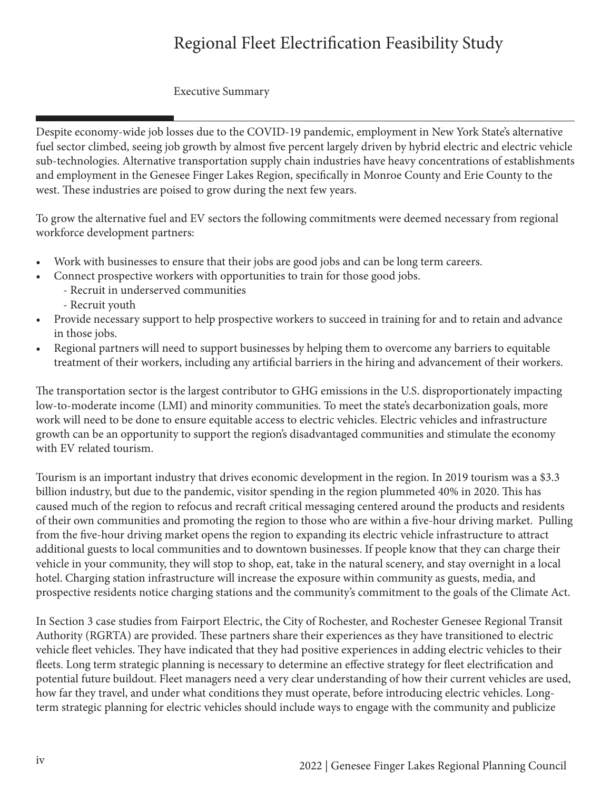# Regional Fleet Electrification Feasibility Study

### Executive Summary

Despite economy-wide job losses due to the COVID-19 pandemic, employment in New York State's alternative fuel sector climbed, seeing job growth by almost five percent largely driven by hybrid electric and electric vehicle sub-technologies. Alternative transportation supply chain industries have heavy concentrations of establishments and employment in the Genesee Finger Lakes Region, specifically in Monroe County and Erie County to the west. These industries are poised to grow during the next few years.

To grow the alternative fuel and EV sectors the following commitments were deemed necessary from regional workforce development partners:

- Work with businesses to ensure that their jobs are good jobs and can be long term careers.
- Connect prospective workers with opportunities to train for those good jobs.
	- Recruit in underserved communities
		- Recruit youth
- Provide necessary support to help prospective workers to succeed in training for and to retain and advance in those jobs.
- Regional partners will need to support businesses by helping them to overcome any barriers to equitable treatment of their workers, including any artificial barriers in the hiring and advancement of their workers.

The transportation sector is the largest contributor to GHG emissions in the U.S. disproportionately impacting low-to-moderate income (LMI) and minority communities. To meet the state's decarbonization goals, more work will need to be done to ensure equitable access to electric vehicles. Electric vehicles and infrastructure growth can be an opportunity to support the region's disadvantaged communities and stimulate the economy with EV related tourism.

Tourism is an important industry that drives economic development in the region. In 2019 tourism was a \$3.3 billion industry, but due to the pandemic, visitor spending in the region plummeted 40% in 2020. This has caused much of the region to refocus and recraft critical messaging centered around the products and residents of their own communities and promoting the region to those who are within a five-hour driving market. Pulling from the five-hour driving market opens the region to expanding its electric vehicle infrastructure to attract additional guests to local communities and to downtown businesses. If people know that they can charge their vehicle in your community, they will stop to shop, eat, take in the natural scenery, and stay overnight in a local hotel. Charging station infrastructure will increase the exposure within community as guests, media, and prospective residents notice charging stations and the community's commitment to the goals of the Climate Act.

In Section 3 case studies from Fairport Electric, the City of Rochester, and Rochester Genesee Regional Transit Authority (RGRTA) are provided. These partners share their experiences as they have transitioned to electric vehicle fleet vehicles. They have indicated that they had positive experiences in adding electric vehicles to their fleets. Long term strategic planning is necessary to determine an effective strategy for fleet electrification and potential future buildout. Fleet managers need a very clear understanding of how their current vehicles are used, how far they travel, and under what conditions they must operate, before introducing electric vehicles. Longterm strategic planning for electric vehicles should include ways to engage with the community and publicize